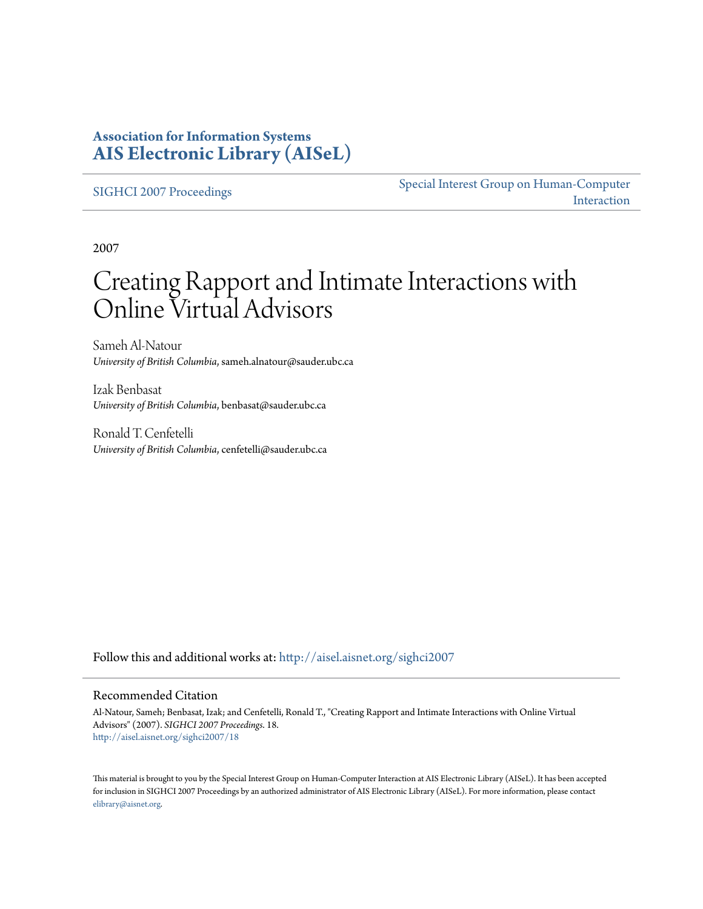### **Association for Information Systems [AIS Electronic Library \(AISeL\)](http://aisel.aisnet.org?utm_source=aisel.aisnet.org%2Fsighci2007%2F18&utm_medium=PDF&utm_campaign=PDFCoverPages)**

[SIGHCI 2007 Proceedings](http://aisel.aisnet.org/sighci2007?utm_source=aisel.aisnet.org%2Fsighci2007%2F18&utm_medium=PDF&utm_campaign=PDFCoverPages)

[Special Interest Group on Human-Computer](http://aisel.aisnet.org/sighci?utm_source=aisel.aisnet.org%2Fsighci2007%2F18&utm_medium=PDF&utm_campaign=PDFCoverPages) [Interaction](http://aisel.aisnet.org/sighci?utm_source=aisel.aisnet.org%2Fsighci2007%2F18&utm_medium=PDF&utm_campaign=PDFCoverPages)

2007

# Creating Rapport and Intimate Interactions with Online Virtual Advisors

Sameh Al-Natour *University of British Columbia*, sameh.alnatour@sauder.ubc.ca

Izak Benbasat *University of British Columbia*, benbasat@sauder.ubc.ca

Ronald T. Cenfetelli *University of British Columbia*, cenfetelli@sauder.ubc.ca

Follow this and additional works at: [http://aisel.aisnet.org/sighci2007](http://aisel.aisnet.org/sighci2007?utm_source=aisel.aisnet.org%2Fsighci2007%2F18&utm_medium=PDF&utm_campaign=PDFCoverPages)

#### Recommended Citation

Al-Natour, Sameh; Benbasat, Izak; and Cenfetelli, Ronald T., "Creating Rapport and Intimate Interactions with Online Virtual Advisors" (2007). *SIGHCI 2007 Proceedings*. 18. [http://aisel.aisnet.org/sighci2007/18](http://aisel.aisnet.org/sighci2007/18?utm_source=aisel.aisnet.org%2Fsighci2007%2F18&utm_medium=PDF&utm_campaign=PDFCoverPages)

This material is brought to you by the Special Interest Group on Human-Computer Interaction at AIS Electronic Library (AISeL). It has been accepted for inclusion in SIGHCI 2007 Proceedings by an authorized administrator of AIS Electronic Library (AISeL). For more information, please contact [elibrary@aisnet.org.](mailto:elibrary@aisnet.org%3E)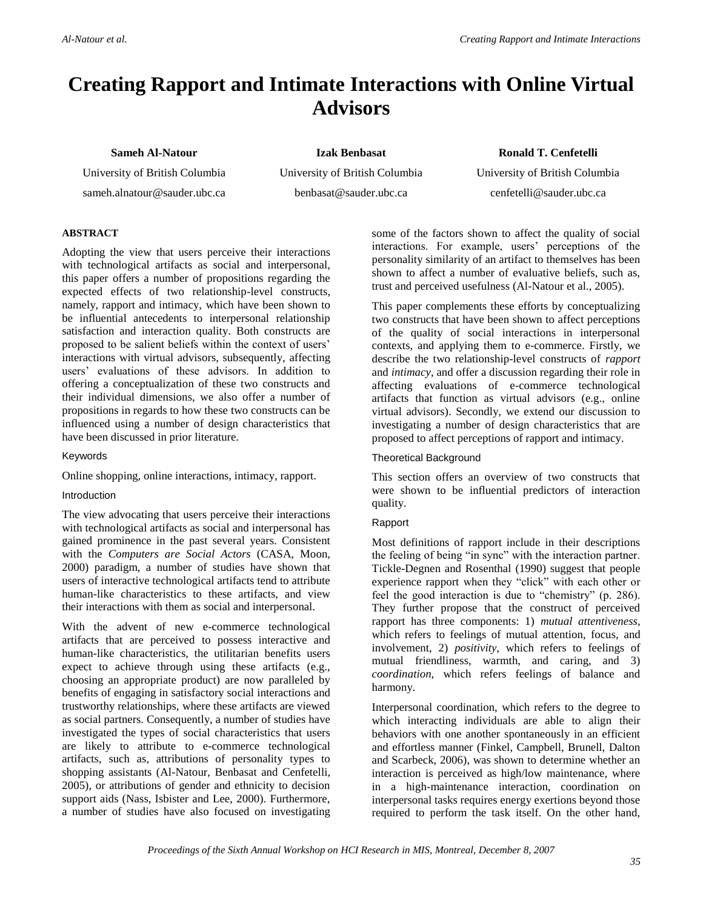## **Creating Rapport and Intimate Interactions with Online Virtual Advisors**

#### **Sameh Al-Natour**

University of British Columbia

sameh.alnatour@sauder.ubc.ca

**Izak Benbasat** University of British Columbia benbasat@sauder.ubc.ca

**Ronald T. Cenfetelli** University of British Columbia cenfetelli@sauder.ubc.ca

#### **ABSTRACT**

Adopting the view that users perceive their interactions with technological artifacts as social and interpersonal, this paper offers a number of propositions regarding the expected effects of two relationship-level constructs, namely, rapport and intimacy, which have been shown to be influential antecedents to interpersonal relationship satisfaction and interaction quality. Both constructs are proposed to be salient beliefs within the context of users' interactions with virtual advisors, subsequently, affecting users' evaluations of these advisors. In addition to offering a conceptualization of these two constructs and their individual dimensions, we also offer a number of propositions in regards to how these two constructs can be influenced using a number of design characteristics that have been discussed in prior literature.

#### Keywords

Online shopping, online interactions, intimacy, rapport.

#### Introduction

The view advocating that users perceive their interactions with technological artifacts as social and interpersonal has gained prominence in the past several years. Consistent with the *Computers are Social Actors* (CASA, Moon, 2000) paradigm, a number of studies have shown that users of interactive technological artifacts tend to attribute human-like characteristics to these artifacts, and view their interactions with them as social and interpersonal.

With the advent of new e-commerce technological artifacts that are perceived to possess interactive and human-like characteristics, the utilitarian benefits users expect to achieve through using these artifacts (e.g., choosing an appropriate product) are now paralleled by benefits of engaging in satisfactory social interactions and trustworthy relationships, where these artifacts are viewed as social partners. Consequently, a number of studies have investigated the types of social characteristics that users are likely to attribute to e-commerce technological artifacts, such as, attributions of personality types to shopping assistants (Al-Natour, Benbasat and Cenfetelli, 2005), or attributions of gender and ethnicity to decision support aids (Nass, Isbister and Lee, 2000). Furthermore, a number of studies have also focused on investigating some of the factors shown to affect the quality of social interactions. For example, users' perceptions of the personality similarity of an artifact to themselves has been shown to affect a number of evaluative beliefs, such as, trust and perceived usefulness (Al-Natour et al., 2005).

This paper complements these efforts by conceptualizing two constructs that have been shown to affect perceptions of the quality of social interactions in interpersonal contexts, and applying them to e-commerce. Firstly, we describe the two relationship-level constructs of *rapport* and *intimacy*, and offer a discussion regarding their role in affecting evaluations of e-commerce technological artifacts that function as virtual advisors (e.g., online virtual advisors). Secondly, we extend our discussion to investigating a number of design characteristics that are proposed to affect perceptions of rapport and intimacy.

#### Theoretical Background

This section offers an overview of two constructs that were shown to be influential predictors of interaction quality.

#### Rapport

Most definitions of rapport include in their descriptions the feeling of being "in sync" with the interaction partner. Tickle-Degnen and Rosenthal (1990) suggest that people experience rapport when they "click" with each other or feel the good interaction is due to "chemistry" (p. 286). They further propose that the construct of perceived rapport has three components: 1) *mutual attentiveness*, which refers to feelings of mutual attention, focus, and involvement, 2) *positivity*, which refers to feelings of mutual friendliness, warmth, and caring, and 3) *coordination*, which refers feelings of balance and harmony.

Interpersonal coordination, which refers to the degree to which interacting individuals are able to align their behaviors with one another spontaneously in an efficient and effortless manner (Finkel, Campbell, Brunell, Dalton and Scarbeck, 2006), was shown to determine whether an interaction is perceived as high/low maintenance, where in a high-maintenance interaction, coordination on interpersonal tasks requires energy exertions beyond those required to perform the task itself. On the other hand,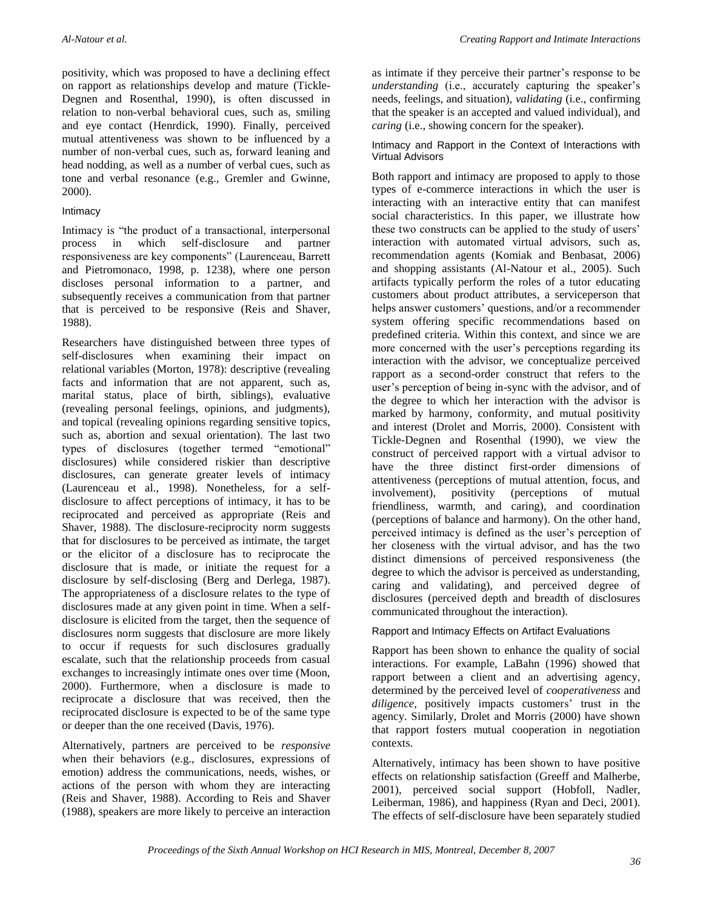positivity, which was proposed to have a declining effect on rapport as relationships develop and mature (Tickle-Degnen and Rosenthal, 1990), is often discussed in relation to non-verbal behavioral cues, such as, smiling and eye contact (Henrdick, 1990). Finally, perceived mutual attentiveness was shown to be influenced by a number of non-verbal cues, such as, forward leaning and head nodding, as well as a number of verbal cues, such as tone and verbal resonance (e.g., Gremler and Gwinne, 2000).

#### Intimacy

Intimacy is "the product of a transactional, interpersonal process in which self-disclosure and partner responsiveness are key components" (Laurenceau, Barrett and Pietromonaco, 1998, p. 1238), where one person discloses personal information to a partner, and subsequently receives a communication from that partner that is perceived to be responsive (Reis and Shaver, 1988).

Researchers have distinguished between three types of self-disclosures when examining their impact on relational variables (Morton, 1978): descriptive (revealing facts and information that are not apparent, such as, marital status, place of birth, siblings), evaluative (revealing personal feelings, opinions, and judgments), and topical (revealing opinions regarding sensitive topics, such as, abortion and sexual orientation). The last two types of disclosures (together termed "emotional" disclosures) while considered riskier than descriptive disclosures, can generate greater levels of intimacy (Laurenceau et al., 1998). Nonetheless, for a selfdisclosure to affect perceptions of intimacy, it has to be reciprocated and perceived as appropriate (Reis and Shaver, 1988). The disclosure-reciprocity norm suggests that for disclosures to be perceived as intimate, the target or the elicitor of a disclosure has to reciprocate the disclosure that is made, or initiate the request for a disclosure by self-disclosing (Berg and Derlega, 1987). The appropriateness of a disclosure relates to the type of disclosures made at any given point in time. When a selfdisclosure is elicited from the target, then the sequence of disclosures norm suggests that disclosure are more likely to occur if requests for such disclosures gradually escalate, such that the relationship proceeds from casual exchanges to increasingly intimate ones over time (Moon, 2000). Furthermore, when a disclosure is made to reciprocate a disclosure that was received, then the reciprocated disclosure is expected to be of the same type or deeper than the one received (Davis, 1976).

Alternatively, partners are perceived to be *responsive* when their behaviors (e.g., disclosures, expressions of emotion) address the communications, needs, wishes, or actions of the person with whom they are interacting (Reis and Shaver, 1988). According to Reis and Shaver (1988), speakers are more likely to perceive an interaction as intimate if they perceive their partner's response to be *understanding* (i.e., accurately capturing the speaker's needs, feelings, and situation), *validating* (i.e., confirming that the speaker is an accepted and valued individual), and *caring* (i.e., showing concern for the speaker).

#### Intimacy and Rapport in the Context of Interactions with Virtual Advisors

Both rapport and intimacy are proposed to apply to those types of e-commerce interactions in which the user is interacting with an interactive entity that can manifest social characteristics. In this paper, we illustrate how these two constructs can be applied to the study of users' interaction with automated virtual advisors, such as, recommendation agents (Komiak and Benbasat, 2006) and shopping assistants (Al-Natour et al., 2005). Such artifacts typically perform the roles of a tutor educating customers about product attributes, a serviceperson that helps answer customers' questions, and/or a recommender system offering specific recommendations based on predefined criteria. Within this context, and since we are more concerned with the user's perceptions regarding its interaction with the advisor, we conceptualize perceived rapport as a second-order construct that refers to the user's perception of being in-sync with the advisor, and of the degree to which her interaction with the advisor is marked by harmony, conformity, and mutual positivity and interest (Drolet and Morris, 2000). Consistent with Tickle-Degnen and Rosenthal (1990), we view the construct of perceived rapport with a virtual advisor to have the three distinct first-order dimensions of attentiveness (perceptions of mutual attention, focus, and involvement), positivity (perceptions of mutual friendliness, warmth, and caring), and coordination (perceptions of balance and harmony). On the other hand, perceived intimacy is defined as the user's perception of her closeness with the virtual advisor, and has the two distinct dimensions of perceived responsiveness (the degree to which the advisor is perceived as understanding, caring and validating), and perceived degree of disclosures (perceived depth and breadth of disclosures communicated throughout the interaction).

#### Rapport and Intimacy Effects on Artifact Evaluations

Rapport has been shown to enhance the quality of social interactions. For example, LaBahn (1996) showed that rapport between a client and an advertising agency, determined by the perceived level of *cooperativeness* and *diligence*, positively impacts customers' trust in the agency. Similarly, Drolet and Morris (2000) have shown that rapport fosters mutual cooperation in negotiation contexts.

Alternatively, intimacy has been shown to have positive effects on relationship satisfaction (Greeff and Malherbe, 2001), perceived social support (Hobfoll, Nadler, Leiberman, 1986), and happiness (Ryan and Deci, 2001). The effects of self-disclosure have been separately studied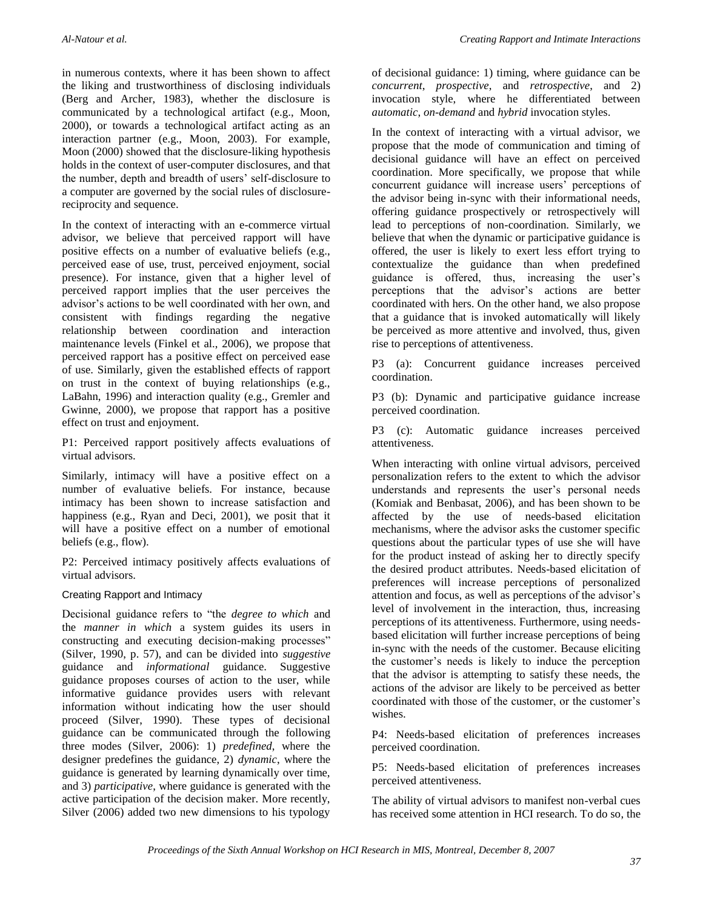in numerous contexts, where it has been shown to affect the liking and trustworthiness of disclosing individuals (Berg and Archer, 1983), whether the disclosure is communicated by a technological artifact (e.g., Moon, 2000), or towards a technological artifact acting as an interaction partner (e.g., Moon, 2003). For example, Moon (2000) showed that the disclosure-liking hypothesis holds in the context of user-computer disclosures, and that the number, depth and breadth of users' self-disclosure to a computer are governed by the social rules of disclosurereciprocity and sequence.

In the context of interacting with an e-commerce virtual advisor, we believe that perceived rapport will have positive effects on a number of evaluative beliefs (e.g., perceived ease of use, trust, perceived enjoyment, social presence). For instance, given that a higher level of perceived rapport implies that the user perceives the advisor's actions to be well coordinated with her own, and consistent with findings regarding the negative relationship between coordination and interaction maintenance levels (Finkel et al., 2006), we propose that perceived rapport has a positive effect on perceived ease of use. Similarly, given the established effects of rapport on trust in the context of buying relationships (e.g., LaBahn, 1996) and interaction quality (e.g., Gremler and Gwinne, 2000), we propose that rapport has a positive effect on trust and enjoyment.

P1: Perceived rapport positively affects evaluations of virtual advisors.

Similarly, intimacy will have a positive effect on a number of evaluative beliefs. For instance, because intimacy has been shown to increase satisfaction and happiness (e.g., Ryan and Deci, 2001), we posit that it will have a positive effect on a number of emotional beliefs (e.g., flow).

P2: Perceived intimacy positively affects evaluations of virtual advisors.

#### Creating Rapport and Intimacy

Decisional guidance refers to "the *degree to which* and the *manner in which* a system guides its users in constructing and executing decision-making processes" (Silver, 1990, p. 57), and can be divided into *suggestive* guidance and *informational* guidance. Suggestive guidance proposes courses of action to the user, while informative guidance provides users with relevant information without indicating how the user should proceed (Silver, 1990). These types of decisional guidance can be communicated through the following three modes (Silver, 2006): 1) *predefined*, where the designer predefines the guidance, 2) *dynamic*, where the guidance is generated by learning dynamically over time, and 3) *participative*, where guidance is generated with the active participation of the decision maker. More recently, Silver (2006) added two new dimensions to his typology

of decisional guidance: 1) timing, where guidance can be *concurrent*, *prospective*, and *retrospective*, and 2) invocation style, where he differentiated between *automatic*, *on-demand* and *hybrid* invocation styles.

In the context of interacting with a virtual advisor, we propose that the mode of communication and timing of decisional guidance will have an effect on perceived coordination. More specifically, we propose that while concurrent guidance will increase users' perceptions of the advisor being in-sync with their informational needs, offering guidance prospectively or retrospectively will lead to perceptions of non-coordination. Similarly, we believe that when the dynamic or participative guidance is offered, the user is likely to exert less effort trying to contextualize the guidance than when predefined guidance is offered, thus, increasing the user's perceptions that the advisor's actions are better coordinated with hers. On the other hand, we also propose that a guidance that is invoked automatically will likely be perceived as more attentive and involved, thus, given rise to perceptions of attentiveness.

P3 (a): Concurrent guidance increases perceived coordination.

P3 (b): Dynamic and participative guidance increase perceived coordination.

P3 (c): Automatic guidance increases perceived attentiveness.

When interacting with online virtual advisors, perceived personalization refers to the extent to which the advisor understands and represents the user's personal needs (Komiak and Benbasat, 2006), and has been shown to be affected by the use of needs-based elicitation mechanisms, where the advisor asks the customer specific questions about the particular types of use she will have for the product instead of asking her to directly specify the desired product attributes. Needs-based elicitation of preferences will increase perceptions of personalized attention and focus, as well as perceptions of the advisor's level of involvement in the interaction, thus, increasing perceptions of its attentiveness. Furthermore, using needsbased elicitation will further increase perceptions of being in-sync with the needs of the customer. Because eliciting the customer's needs is likely to induce the perception that the advisor is attempting to satisfy these needs, the actions of the advisor are likely to be perceived as better coordinated with those of the customer, or the customer's wishes.

P4: Needs-based elicitation of preferences increases perceived coordination.

P5: Needs-based elicitation of preferences increases perceived attentiveness.

The ability of virtual advisors to manifest non-verbal cues has received some attention in HCI research. To do so, the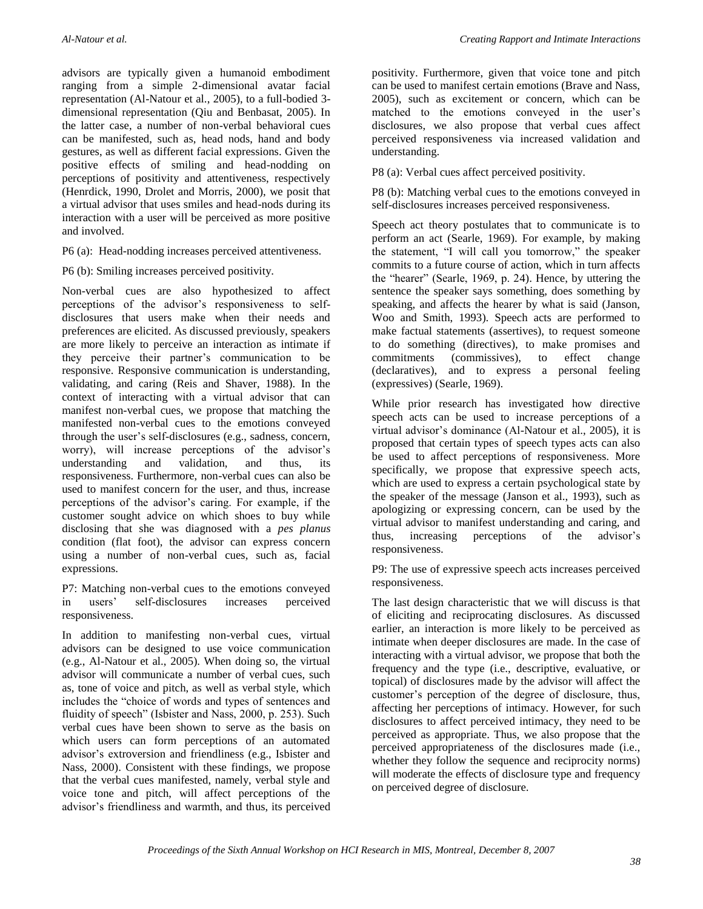advisors are typically given a humanoid embodiment ranging from a simple 2-dimensional avatar facial representation (Al-Natour et al., 2005), to a full-bodied 3 dimensional representation (Qiu and Benbasat, 2005). In the latter case, a number of non-verbal behavioral cues can be manifested, such as, head nods, hand and body gestures, as well as different facial expressions. Given the positive effects of smiling and head-nodding on perceptions of positivity and attentiveness, respectively (Henrdick, 1990, Drolet and Morris, 2000), we posit that a virtual advisor that uses smiles and head-nods during its interaction with a user will be perceived as more positive and involved.

P6 (a): Head-nodding increases perceived attentiveness.

P6 (b): Smiling increases perceived positivity.

Non-verbal cues are also hypothesized to affect perceptions of the advisor's responsiveness to selfdisclosures that users make when their needs and preferences are elicited. As discussed previously, speakers are more likely to perceive an interaction as intimate if they perceive their partner's communication to be responsive. Responsive communication is understanding, validating, and caring (Reis and Shaver, 1988). In the context of interacting with a virtual advisor that can manifest non-verbal cues, we propose that matching the manifested non-verbal cues to the emotions conveyed through the user's self-disclosures (e.g., sadness, concern, worry), will increase perceptions of the advisor's understanding and validation, and thus, its responsiveness. Furthermore, non-verbal cues can also be used to manifest concern for the user, and thus, increase perceptions of the advisor's caring. For example, if the customer sought advice on which shoes to buy while disclosing that she was diagnosed with a *pes planus* condition (flat foot), the advisor can express concern using a number of non-verbal cues, such as, facial expressions.

P7: Matching non-verbal cues to the emotions conveyed in users' self-disclosures increases perceived responsiveness.

In addition to manifesting non-verbal cues, virtual advisors can be designed to use voice communication (e.g., Al-Natour et al., 2005). When doing so, the virtual advisor will communicate a number of verbal cues, such as, tone of voice and pitch, as well as verbal style, which includes the "choice of words and types of sentences and fluidity of speech" (Isbister and Nass, 2000, p. 253). Such verbal cues have been shown to serve as the basis on which users can form perceptions of an automated advisor's extroversion and friendliness (e.g., Isbister and Nass, 2000). Consistent with these findings, we propose that the verbal cues manifested, namely, verbal style and voice tone and pitch, will affect perceptions of the advisor's friendliness and warmth, and thus, its perceived positivity. Furthermore, given that voice tone and pitch can be used to manifest certain emotions (Brave and Nass, 2005), such as excitement or concern, which can be matched to the emotions conveyed in the user's disclosures, we also propose that verbal cues affect perceived responsiveness via increased validation and understanding.

P8 (a): Verbal cues affect perceived positivity.

P8 (b): Matching verbal cues to the emotions conveyed in self-disclosures increases perceived responsiveness.

Speech act theory postulates that to communicate is to perform an act (Searle, 1969). For example, by making the statement, "I will call you tomorrow," the speaker commits to a future course of action, which in turn affects the "hearer" (Searle, 1969, p. 24). Hence, by uttering the sentence the speaker says something, does something by speaking, and affects the hearer by what is said (Janson, Woo and Smith, 1993). Speech acts are performed to make factual statements (assertives), to request someone to do something (directives), to make promises and commitments (commissives), to effect change (declaratives), and to express a personal feeling (expressives) (Searle, 1969).

While prior research has investigated how directive speech acts can be used to increase perceptions of a virtual advisor's dominance (Al-Natour et al., 2005), it is proposed that certain types of speech types acts can also be used to affect perceptions of responsiveness. More specifically, we propose that expressive speech acts, which are used to express a certain psychological state by the speaker of the message (Janson et al., 1993), such as apologizing or expressing concern, can be used by the virtual advisor to manifest understanding and caring, and thus, increasing perceptions of the advisor's responsiveness.

P9: The use of expressive speech acts increases perceived responsiveness.

The last design characteristic that we will discuss is that of eliciting and reciprocating disclosures. As discussed earlier, an interaction is more likely to be perceived as intimate when deeper disclosures are made. In the case of interacting with a virtual advisor, we propose that both the frequency and the type (i.e., descriptive, evaluative, or topical) of disclosures made by the advisor will affect the customer's perception of the degree of disclosure, thus, affecting her perceptions of intimacy. However, for such disclosures to affect perceived intimacy, they need to be perceived as appropriate. Thus, we also propose that the perceived appropriateness of the disclosures made (i.e., whether they follow the sequence and reciprocity norms) will moderate the effects of disclosure type and frequency on perceived degree of disclosure.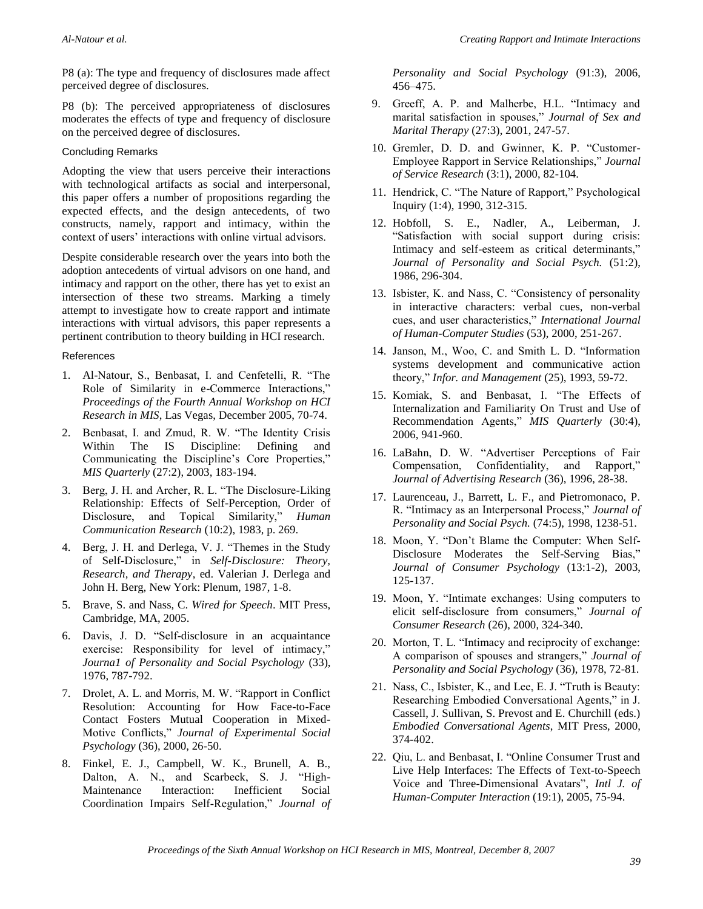P8 (a): The type and frequency of disclosures made affect perceived degree of disclosures.

P8 (b): The perceived appropriateness of disclosures moderates the effects of type and frequency of disclosure on the perceived degree of disclosures.

#### Concluding Remarks

Adopting the view that users perceive their interactions with technological artifacts as social and interpersonal, this paper offers a number of propositions regarding the expected effects, and the design antecedents, of two constructs, namely, rapport and intimacy, within the context of users' interactions with online virtual advisors.

Despite considerable research over the years into both the adoption antecedents of virtual advisors on one hand, and intimacy and rapport on the other, there has yet to exist an intersection of these two streams. Marking a timely attempt to investigate how to create rapport and intimate interactions with virtual advisors, this paper represents a pertinent contribution to theory building in HCI research.

#### References

- 1. Al-Natour, S., Benbasat, I. and Cenfetelli, R. "The Role of Similarity in e-Commerce Interactions," *Proceedings of the Fourth Annual Workshop on HCI Research in MIS*, Las Vegas, December 2005, 70-74.
- 2. Benbasat, I. and Zmud, R. W. "The Identity Crisis Within The IS Discipline: Defining and Communicating the Discipline's Core Properties," *MIS Quarterly* (27:2), 2003, 183-194.
- 3. Berg, J. H. and Archer, R. L. "The Disclosure-Liking Relationship: Effects of Self-Perception, Order of Disclosure, and Topical Similarity," *Human Communication Research* (10:2), 1983, p. 269.
- 4. Berg, J. H. and Derlega, V. J. "Themes in the Study of Self-Disclosure," in *Self-Disclosure: Theory, Research, and Therapy*, ed. Valerian J. Derlega and John H. Berg, New York: Plenum, 1987, 1-8.
- 5. Brave, S. and Nass, C. *Wired for Speech*. MIT Press, Cambridge, MA, 2005.
- 6. Davis, J. D. "Self-disclosure in an acquaintance exercise: Responsibility for level of intimacy," *Journa1 of Personality and Social Psychology* (33), 1976, 787-792.
- 7. Drolet, A. L. and Morris, M. W. "Rapport in Conflict Resolution: Accounting for How Face-to-Face Contact Fosters Mutual Cooperation in Mixed-Motive Conflicts," *Journal of Experimental Social Psychology* (36), 2000, 26-50.
- 8. Finkel, E. J., Campbell, W. K., Brunell, A. B., Dalton, A. N., and Scarbeck, S. J. "High-Maintenance Interaction: Inefficient Social Coordination Impairs Self-Regulation," *Journal of*

*Personality and Social Psychology* (91:3), 2006, 456–475.

- 9. Greeff, A. P. and Malherbe, H.L. "Intimacy and marital satisfaction in spouses," *Journal of Sex and Marital Therapy* (27:3), 2001, 247-57.
- 10. Gremler, D. D. and Gwinner, K. P. "Customer-Employee Rapport in Service Relationships," *Journal of Service Research* (3:1), 2000, 82-104.
- 11. Hendrick, C. "The Nature of Rapport," Psychological Inquiry (1:4), 1990, 312-315.
- 12. Hobfoll, S. E., Nadler, A., Leiberman, J. "Satisfaction with social support during crisis: Intimacy and self-esteem as critical determinants," *Journal of Personality and Social Psych.* (51:2), 1986, 296-304.
- 13. Isbister, K. and Nass, C. "Consistency of personality in interactive characters: verbal cues, non-verbal cues, and user characteristics," *International Journal of Human-Computer Studies* (53), 2000, 251-267.
- 14. Janson, M., Woo, C. and Smith L. D. "Information systems development and communicative action theory," *Infor. and Management* (25), 1993, 59-72.
- 15. Komiak, S. and Benbasat, I. "The Effects of Internalization and Familiarity On Trust and Use of Recommendation Agents," *MIS Quarterly* (30:4), 2006, 941-960.
- 16. LaBahn, D. W. "Advertiser Perceptions of Fair Compensation, Confidentiality, and Rapport," *Journal of Advertising Research* (36), 1996, 28-38.
- 17. Laurenceau, J., Barrett, L. F., and Pietromonaco, P. R. "Intimacy as an Interpersonal Process," *Journal of Personality and Social Psych.* (74:5), 1998, 1238-51.
- 18. Moon, Y. "Don't Blame the Computer: When Self-Disclosure Moderates the Self-Serving Bias," *Journal of Consumer Psychology* (13:1-2), 2003, 125-137.
- 19. Moon, Y. "Intimate exchanges: Using computers to elicit self-disclosure from consumers," *Journal of Consumer Research* (26), 2000, 324-340.
- 20. Morton, T. L. "Intimacy and reciprocity of exchange: A comparison of spouses and strangers," *Journal of Personality and Social Psychology* (36), 1978, 72-81.
- 21. Nass, C., Isbister, K., and Lee, E. J. "Truth is Beauty: Researching Embodied Conversational Agents," in J. Cassell, J. Sullivan, S. Prevost and E. Churchill (eds.) *Embodied Conversational Agents*, MIT Press, 2000, 374-402.
- 22. Qiu, L. and Benbasat, I. "Online Consumer Trust and Live Help Interfaces: The Effects of Text-to-Speech Voice and Three-Dimensional Avatars", *Intl J. of Human-Computer Interaction* (19:1), 2005, 75-94.